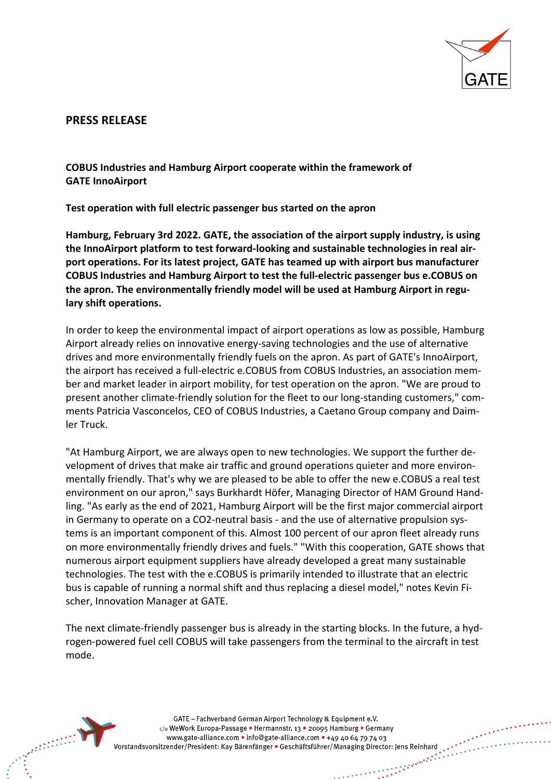

## **PRESS RELEASE**

**COBUS Industries and Hamburg Airport cooperate within the framework of GATE InnoAirport**

**Test operation with full electric passenger bus started on the apron**

**Hamburg, February 3rd 2022. GATE, the association of the airport supply industry, is using the InnoAirport platform to test forward-looking and sustainable technologies in real airport operations. For its latest project, GATE has teamed up with airport bus manufacturer COBUS Industries and Hamburg Airport to test the full-electric passenger bus e.COBUS on the apron. The environmentally friendly model will be used at Hamburg Airport in regulary shift operations.**

In order to keep the environmental impact of airport operations as low as possible, Hamburg Airport already relies on innovative energy-saving technologies and the use of alternative drives and more environmentally friendly fuels on the apron. As part of GATE's InnoAirport, the airport has received a full-electric e.COBUS from COBUS Industries, an association member and market leader in airport mobility, for test operation on the apron. "We are proud to present another climate-friendly solution for the fleet to our long-standing customers," comments Patricia Vasconcelos, CEO of COBUS Industries, a Caetano Group company and Daimler Truck.

"At Hamburg Airport, we are always open to new technologies. We support the further development of drives that make air traffic and ground operations quieter and more environmentally friendly. That's why we are pleased to be able to offer the new e.COBUS a real test environment on our apron," says Burkhardt Höfer, Managing Director of HAM Ground Handling. "As early as the end of 2021, Hamburg Airport will be the first major commercial airport in Germany to operate on a CO2-neutral basis - and the use of alternative propulsion systems is an important component of this. Almost 100 percent of our apron fleet already runs on more environmentally friendly drives and fuels." "With this cooperation, GATE shows that numerous airport equipment suppliers have already developed a great many sustainable technologies. The test with the e.COBUS is primarily intended to illustrate that an electric bus is capable of running a normal shift and thus replacing a diesel model," notes Kevin Fischer, Innovation Manager at GATE.

The next climate-friendly passenger bus is already in the starting blocks. In the future, a hydrogen-powered fuel cell COBUS will take passengers from the terminal to the aircraft in test mode.



GATE - Fachverband German Airport Technology & Equipment e.V. c/o WeWork Europa-Passage • Hermannstr. 13 • 20095 Hamburg • Germany www.gate-alliance.com • info@gate-alliance.com • +49 40 64 79 74 03 Vorstandsvorsitzender/President: Kay Bärenfänger • Geschäftsführer/Managing Director: Jens Reinhard  $\frac{1}{2}$